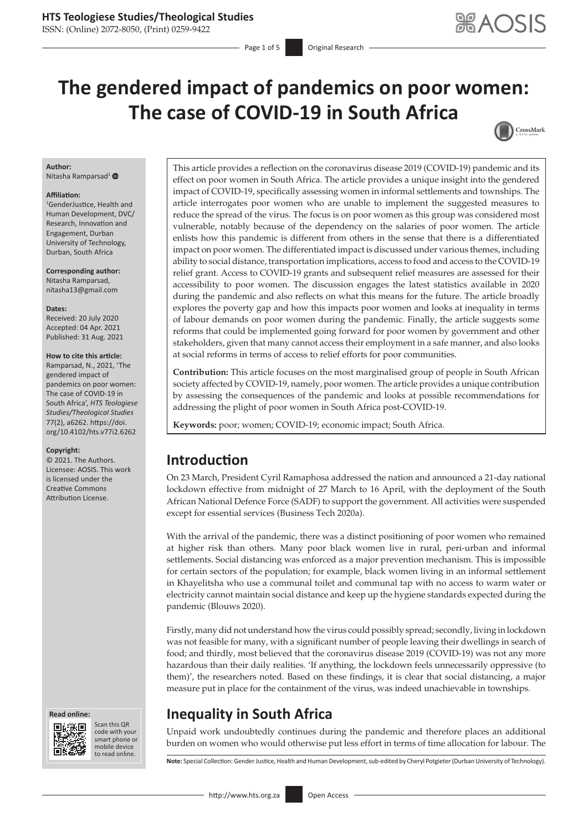### **HTS Teologiese Studies/Theological Studies**

ISSN: (Online) 2072-8050, (Print) 0259-9422

# **The gendered impact of pandemics on poor women: The case of COVID-19 in South Africa**



#### **Author:**

Nitasha Ramparsad<sup>1</sup> <sup>O</sup>

#### **Affiliation:**

1 GenderJustice, Health and Human Development, DVC/ Research, Innovation and Engagement, Durban University of Technology, Durban, South Africa

**Corresponding author:** Nitasha Ramparsad, [nitasha13@gmail.com](mailto:nitasha13@gmail.com)

**Dates:** Received: 20 July 2020 Accepted: 04 Apr. 2021 Published: 31 Aug. 2021

#### **How to cite this article:**

Ramparsad, N., 2021, 'The gendered impact of pandemics on poor women: The case of COVID-19 in South Africa', *HTS Teologiese Studies/Theological Studies* 77(2), a6262. [https://doi.](https://doi.org/10.4102/hts.v77i2.6262) [org/10.4102/hts.v77i2.6262](https://doi.org/10.4102/hts.v77i2.6262)

#### **Copyright:**

© 2021. The Authors. Licensee: AOSIS. This work is licensed under the Creative Commons Attribution License.





Scan this QR code with your Scan this QR<br>code with your<br>smart phone or<br>mobile device mobile device to read online. to read online.

This article provides a reflection on the coronavirus disease 2019 (COVID-19) pandemic and its effect on poor women in South Africa. The article provides a unique insight into the gendered impact of COVID-19, specifically assessing women in informal settlements and townships. The article interrogates poor women who are unable to implement the suggested measures to reduce the spread of the virus. The focus is on poor women as this group was considered most vulnerable, notably because of the dependency on the salaries of poor women. The article enlists how this pandemic is different from others in the sense that there is a differentiated impact on poor women. The differentiated impact is discussed under various themes, including ability to social distance, transportation implications, access to food and access to the COVID-19 relief grant. Access to COVID-19 grants and subsequent relief measures are assessed for their accessibility to poor women. The discussion engages the latest statistics available in 2020 during the pandemic and also reflects on what this means for the future. The article broadly explores the poverty gap and how this impacts poor women and looks at inequality in terms of labour demands on poor women during the pandemic. Finally, the article suggests some reforms that could be implemented going forward for poor women by government and other stakeholders, given that many cannot access their employment in a safe manner, and also looks at social reforms in terms of access to relief efforts for poor communities.

**Contribution:** This article focuses on the most marginalised group of people in South African society affected by COVID-19, namely, poor women. The article provides a unique contribution by assessing the consequences of the pandemic and looks at possible recommendations for addressing the plight of poor women in South Africa post-COVID-19.

**Keywords:** poor; women; COVID-19; economic impact; South Africa.

### **Introduction**

On 23 March, President Cyril Ramaphosa addressed the nation and announced a 21-day national lockdown effective from midnight of 27 March to 16 April, with the deployment of the South African National Defence Force (SADF) to support the government. All activities were suspended except for essential services (Business Tech 2020a).

With the arrival of the pandemic, there was a distinct positioning of poor women who remained at higher risk than others. Many poor black women live in rural, peri-urban and informal settlements. Social distancing was enforced as a major prevention mechanism. This is impossible for certain sectors of the population; for example, black women living in an informal settlement in Khayelitsha who use a communal toilet and communal tap with no access to warm water or electricity cannot maintain social distance and keep up the hygiene standards expected during the pandemic (Blouws 2020).

Firstly, many did not understand how the virus could possibly spread; secondly, living in lockdown was not feasible for many, with a significant number of people leaving their dwellings in search of food; and thirdly, most believed that the coronavirus disease 2019 (COVID-19) was not any more hazardous than their daily realities. 'If anything, the lockdown feels unnecessarily oppressive (to them)', the researchers noted. Based on these findings, it is clear that social distancing, a major measure put in place for the containment of the virus, was indeed unachievable in townships.

# **Inequality in South Africa**

Unpaid work undoubtedly continues during the pandemic and therefore places an additional burden on women who would otherwise put less effort in terms of time allocation for labour. The

**Note:** Special Collection: Gender Justice, Health and Human Development, sub-edited by Cheryl Potgieter (Durban University of Technology).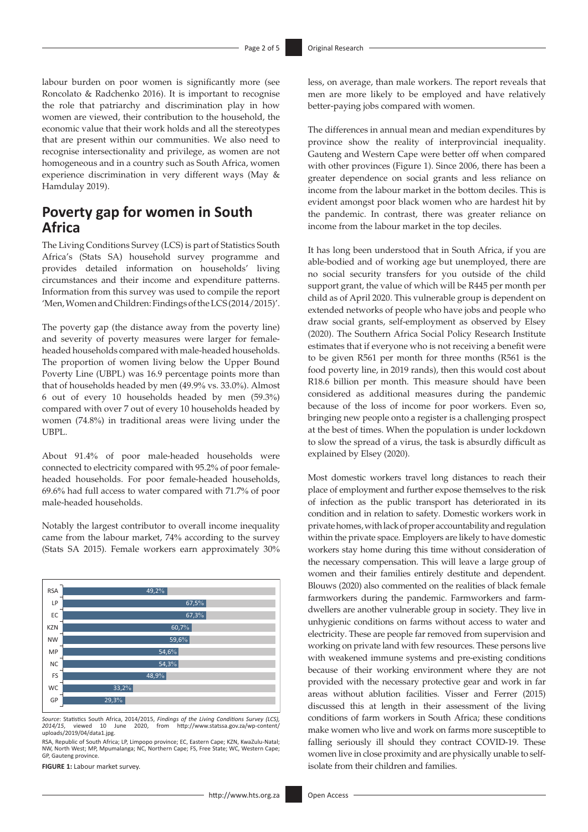labour burden on poor women is significantly more (see Roncolato & Radchenko 2016). It is important to recognise the role that patriarchy and discrimination play in how women are viewed, their contribution to the household, the economic value that their work holds and all the stereotypes that are present within our communities. We also need to recognise intersectionality and privilege, as women are not homogeneous and in a country such as South Africa, women experience discrimination in very different ways (May & Hamdulay 2019).

### **Poverty gap for women in South Africa**

The Living Conditions Survey (LCS) is part of Statistics South Africa's (Stats SA) household survey programme and provides detailed information on households' living circumstances and their income and expenditure patterns. Information from this survey was used to compile the report 'Men, Women and Children: Findings of the LCS (2014/2015)'.

The poverty gap (the distance away from the poverty line) and severity of poverty measures were larger for femaleheaded households compared with male-headed households. The proportion of women living below the Upper Bound Poverty Line (UBPL) was 16.9 percentage points more than that of households headed by men (49.9% vs. 33.0%). Almost 6 out of every 10 households headed by men (59.3%) compared with over 7 out of every 10 households headed by women (74.8%) in traditional areas were living under the UBPL.

About 91.4% of poor male-headed households were connected to electricity compared with 95.2% of poor femaleheaded households. For poor female-headed households, 69.6% had full access to water compared with 71.7% of poor male-headed households.

Notably the largest contributor to overall income inequality came from the labour market, 74% according to the survey (Stats SA 2015). Female workers earn approximately 30%



*Source*: Statistics South Africa, 2014/2015, *Findings of the Living Conditions Survey (LCS), 2014/15*, viewed 10 June 2020, from [http://www.statssa.gov.za/wp-content/](http://www.statssa.gov.za/wp-content/uploads/2019/04/data1.jpg) 2014/15, viewed 10 J<br>[uploads/2019/04/data1.jpg](http://www.statssa.gov.za/wp-content/uploads/2019/04/data1.jpg).

RSA, Republic of South Africa; LP, Limpopo province; EC, Eastern Cape; KZN, KwaZulu-Natal;<br>NW, North West; MP, Mpumalanga; NC, Northern Cape; FS, Free State; WC, Western Cape; GP, Gauteng province.

**FIGURE 1:** Labour market survey.

less, on average, than male workers. The report reveals that men are more likely to be employed and have relatively better-paying jobs compared with women.

The differences in annual mean and median expenditures by province show the reality of interprovincial inequality. Gauteng and Western Cape were better off when compared with other provinces (Figure 1). Since 2006, there has been a greater dependence on social grants and less reliance on income from the labour market in the bottom deciles. This is evident amongst poor black women who are hardest hit by the pandemic. In contrast, there was greater reliance on income from the labour market in the top deciles.

It has long been understood that in South Africa, if you are able-bodied and of working age but unemployed, there are no social security transfers for you outside of the child support grant, the value of which will be R445 per month per child as of April 2020. This vulnerable group is dependent on extended networks of people who have jobs and people who draw social grants, self-employment as observed by Elsey (2020). The Southern Africa Social Policy Research Institute estimates that if everyone who is not receiving a benefit were to be given R561 per month for three months (R561 is the food poverty line, in 2019 rands), then this would cost about R18.6 billion per month. This measure should have been considered as additional measures during the pandemic because of the loss of income for poor workers. Even so, bringing new people onto a register is a challenging prospect at the best of times. When the population is under lockdown to slow the spread of a virus, the task is absurdly difficult as explained by Elsey (2020).

Most domestic workers travel long distances to reach their place of employment and further expose themselves to the risk of infection as the public transport has deteriorated in its condition and in relation to safety. Domestic workers work in private homes, with lack of proper accountability and regulation within the private space. Employers are likely to have domestic workers stay home during this time without consideration of the necessary compensation. This will leave a large group of women and their families entirely destitute and dependent. Blouws (2020) also commented on the realities of black female farmworkers during the pandemic. Farmworkers and farmdwellers are another vulnerable group in society. They live in unhygienic conditions on farms without access to water and electricity. These are people far removed from supervision and working on private land with few resources. These persons live with weakened immune systems and pre-existing conditions because of their working environment where they are not provided with the necessary protective gear and work in far areas without ablution facilities. Visser and Ferrer (2015) discussed this at length in their assessment of the living conditions of farm workers in South Africa; these conditions make women who live and work on farms more susceptible to falling seriously ill should they contract COVID-19. These women live in close proximity and are physically unable to selfisolate from their children and families.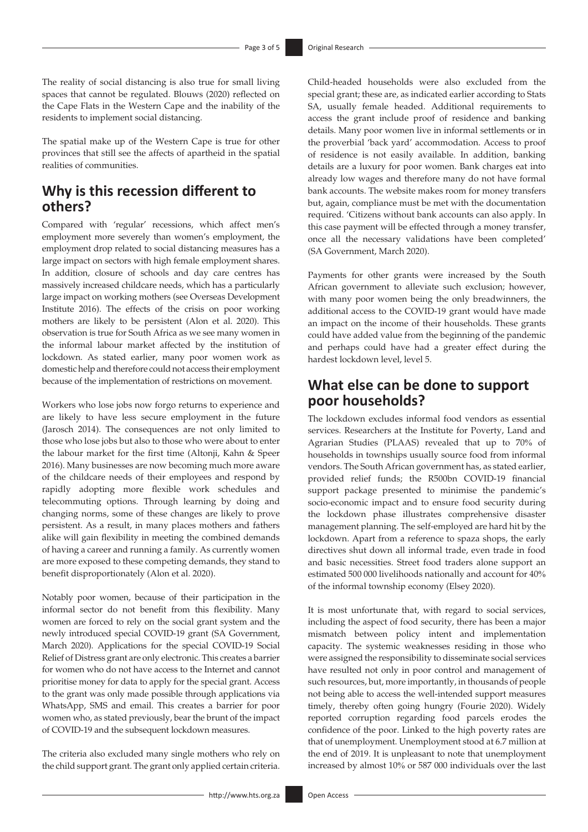The reality of social distancing is also true for small living spaces that cannot be regulated. Blouws (2020) reflected on the Cape Flats in the Western Cape and the inability of the residents to implement social distancing.

The spatial make up of the Western Cape is true for other provinces that still see the affects of apartheid in the spatial realities of communities.

### **Why is this recession different to others?**

Compared with 'regular' recessions, which affect men's employment more severely than women's employment, the employment drop related to social distancing measures has a large impact on sectors with high female employment shares. In addition, closure of schools and day care centres has massively increased childcare needs, which has a particularly large impact on working mothers (see Overseas Development Institute 2016). The effects of the crisis on poor working mothers are likely to be persistent (Alon et al. 2020). This observation is true for South Africa as we see many women in the informal labour market affected by the institution of lockdown. As stated earlier, many poor women work as domestic help and therefore could not access their employment because of the implementation of restrictions on movement.

Workers who lose jobs now forgo returns to experience and are likely to have less secure employment in the future (Jarosch 2014). The consequences are not only limited to those who lose jobs but also to those who were about to enter the labour market for the first time (Altonji, Kahn & Speer 2016). Many businesses are now becoming much more aware of the childcare needs of their employees and respond by rapidly adopting more flexible work schedules and telecommuting options. Through learning by doing and changing norms, some of these changes are likely to prove persistent. As a result, in many places mothers and fathers alike will gain flexibility in meeting the combined demands of having a career and running a family. As currently women are more exposed to these competing demands, they stand to benefit disproportionately (Alon et al. 2020).

Notably poor women, because of their participation in the informal sector do not benefit from this flexibility. Many women are forced to rely on the social grant system and the newly introduced special COVID-19 grant (SA Government, March 2020). Applications for the special COVID-19 Social Relief of Distress grant are only electronic. This creates a barrier for women who do not have access to the Internet and cannot prioritise money for data to apply for the special grant. Access to the grant was only made possible through applications via WhatsApp, SMS and email. This creates a barrier for poor women who, as stated previously, bear the brunt of the impact of COVID-19 and the subsequent lockdown measures.

The criteria also excluded many single mothers who rely on the child support grant. The grant only applied certain criteria.

Child-headed households were also excluded from the special grant; these are, as indicated earlier according to Stats SA, usually female headed. Additional requirements to access the grant include proof of residence and banking details. Many poor women live in informal settlements or in the proverbial 'back yard' accommodation. Access to proof of residence is not easily available. In addition, banking details are a luxury for poor women. Bank charges eat into already low wages and therefore many do not have formal bank accounts. The website makes room for money transfers but, again, compliance must be met with the documentation required. 'Citizens without bank accounts can also apply. In this case payment will be effected through a money transfer, once all the necessary validations have been completed' (SA Government, March 2020).

Payments for other grants were increased by the South African government to alleviate such exclusion; however, with many poor women being the only breadwinners, the additional access to the COVID-19 grant would have made an impact on the income of their households. These grants could have added value from the beginning of the pandemic and perhaps could have had a greater effect during the hardest lockdown level, level 5.

## **What else can be done to support poor households?**

The lockdown excludes informal food vendors as essential services. Researchers at the Institute for Poverty, Land and Agrarian Studies (PLAAS) revealed that up to 70% of households in townships usually source food from informal vendors. The South African government has, as stated earlier, provided relief funds; the R500bn COVID-19 financial support package presented to minimise the pandemic's socio-economic impact and to ensure food security during the lockdown phase illustrates comprehensive disaster management planning. The self-employed are hard hit by the lockdown. Apart from a reference to spaza shops, the early directives shut down all informal trade, even trade in food and basic necessities. Street food traders alone support an estimated 500 000 livelihoods nationally and account for 40% of the informal township economy (Elsey 2020).

It is most unfortunate that, with regard to social services, including the aspect of food security, there has been a major mismatch between policy intent and implementation capacity. The systemic weaknesses residing in those who were assigned the responsibility to disseminate social services have resulted not only in poor control and management of such resources, but, more importantly, in thousands of people not being able to access the well-intended support measures timely, thereby often going hungry (Fourie 2020). Widely reported corruption regarding food parcels erodes the confidence of the poor. Linked to the high poverty rates are that of unemployment. Unemployment stood at 6.7 million at the end of 2019. It is unpleasant to note that unemployment increased by almost 10% or 587 000 individuals over the last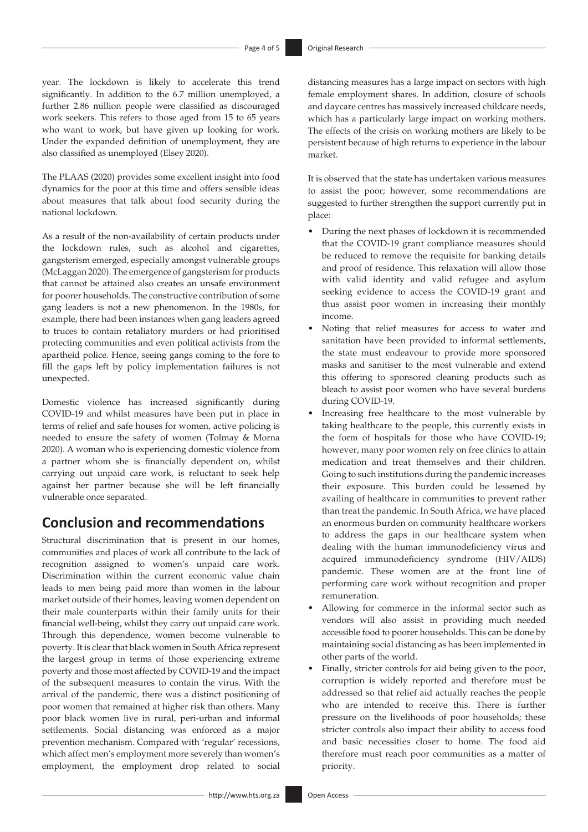year. The lockdown is likely to accelerate this trend significantly. In addition to the 6.7 million unemployed, a further 2.86 million people were classified as discouraged work seekers. This refers to those aged from 15 to 65 years who want to work, but have given up looking for work. Under the expanded definition of unemployment, they are also classified as unemployed (Elsey 2020).

The PLAAS (2020) provides some excellent insight into food dynamics for the poor at this time and offers sensible ideas about measures that talk about food security during the national lockdown.

As a result of the non-availability of certain products under the lockdown rules, such as alcohol and cigarettes, gangsterism emerged, especially amongst vulnerable groups (McLaggan 2020). The emergence of gangsterism for products that cannot be attained also creates an unsafe environment for poorer households. The constructive contribution of some gang leaders is not a new phenomenon. In the 1980s, for example, there had been instances when gang leaders agreed to truces to contain retaliatory murders or had prioritised protecting communities and even political activists from the apartheid police. Hence, seeing gangs coming to the fore to fill the gaps left by policy implementation failures is not unexpected.

Domestic violence has increased significantly during COVID-19 and whilst measures have been put in place in terms of relief and safe houses for women, active policing is needed to ensure the safety of women (Tolmay & Morna 2020). A woman who is experiencing domestic violence from a partner whom she is financially dependent on, whilst carrying out unpaid care work, is reluctant to seek help against her partner because she will be left financially vulnerable once separated.

### **Conclusion and recommendations**

Structural discrimination that is present in our homes, communities and places of work all contribute to the lack of recognition assigned to women's unpaid care work. Discrimination within the current economic value chain leads to men being paid more than women in the labour market outside of their homes, leaving women dependent on their male counterparts within their family units for their financial well-being, whilst they carry out unpaid care work. Through this dependence, women become vulnerable to poverty. It is clear that black women in South Africa represent the largest group in terms of those experiencing extreme poverty and those most affected by COVID-19 and the impact of the subsequent measures to contain the virus. With the arrival of the pandemic, there was a distinct positioning of poor women that remained at higher risk than others. Many poor black women live in rural, peri-urban and informal settlements. Social distancing was enforced as a major prevention mechanism. Compared with 'regular' recessions, which affect men's employment more severely than women's employment, the employment drop related to social

distancing measures has a large impact on sectors with high female employment shares. In addition, closure of schools and daycare centres has massively increased childcare needs, which has a particularly large impact on working mothers. The effects of the crisis on working mothers are likely to be persistent because of high returns to experience in the labour market.

It is observed that the state has undertaken various measures to assist the poor; however, some recommendations are suggested to further strengthen the support currently put in place:

- During the next phases of lockdown it is recommended that the COVID-19 grant compliance measures should be reduced to remove the requisite for banking details and proof of residence. This relaxation will allow those with valid identity and valid refugee and asylum seeking evidence to access the COVID-19 grant and thus assist poor women in increasing their monthly income.
- Noting that relief measures for access to water and sanitation have been provided to informal settlements, the state must endeavour to provide more sponsored masks and sanitiser to the most vulnerable and extend this offering to sponsored cleaning products such as bleach to assist poor women who have several burdens during COVID-19.
- Increasing free healthcare to the most vulnerable by taking healthcare to the people, this currently exists in the form of hospitals for those who have COVID-19; however, many poor women rely on free clinics to attain medication and treat themselves and their children. Going to such institutions during the pandemic increases their exposure. This burden could be lessened by availing of healthcare in communities to prevent rather than treat the pandemic. In South Africa, we have placed an enormous burden on community healthcare workers to address the gaps in our healthcare system when dealing with the human immunodeficiency virus and acquired immunodeficiency syndrome (HIV/AIDS) pandemic. These women are at the front line of performing care work without recognition and proper remuneration.
- Allowing for commerce in the informal sector such as vendors will also assist in providing much needed accessible food to poorer households. This can be done by maintaining social distancing as has been implemented in other parts of the world.
- Finally, stricter controls for aid being given to the poor, corruption is widely reported and therefore must be addressed so that relief aid actually reaches the people who are intended to receive this. There is further pressure on the livelihoods of poor households; these stricter controls also impact their ability to access food and basic necessities closer to home. The food aid therefore must reach poor communities as a matter of priority.